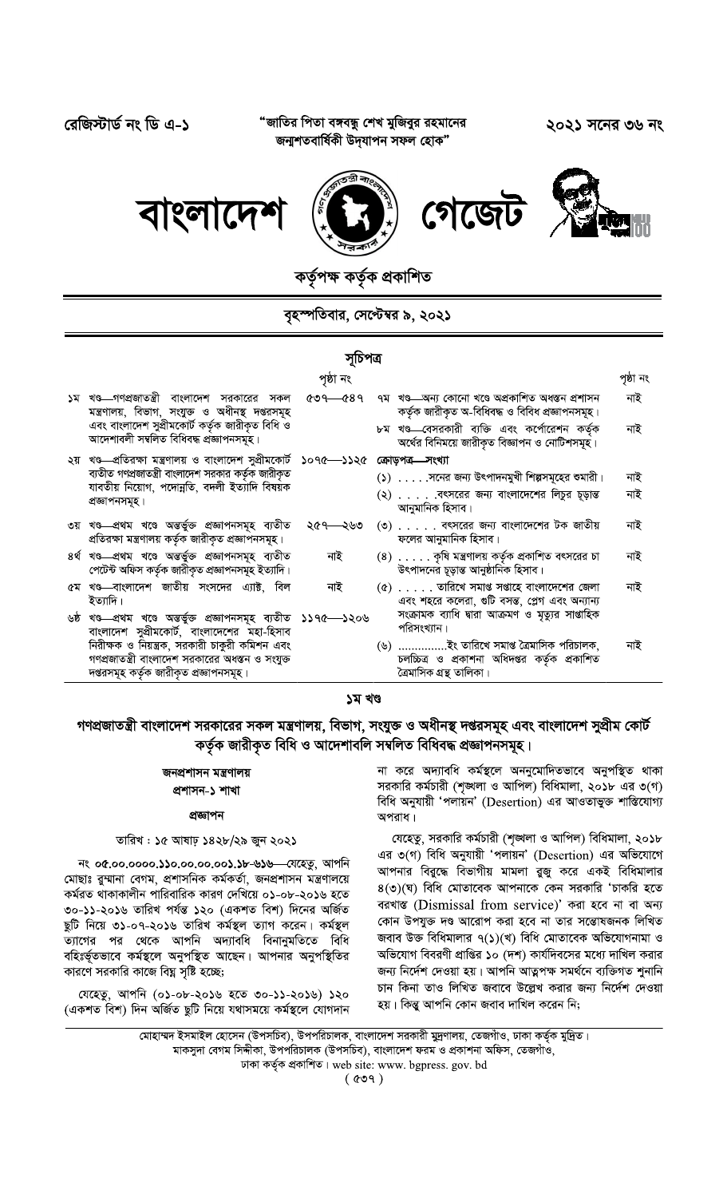"জাতির পিতা বঙ্গবন্ধু শেখ মুজিবুর রহমানের জন্মশতবাৰ্ষিকী উদ্যাপন সফল হোক"

রেজিস্টার্ড নং ডি এ-১

২০২১ সনের ৩৬ নং



ৰ্তৃপক্ষ কৰ্তৃক প্ৰকাশিত

## বৃহস্পতিবার, সেপ্টেম্বর ৯, ২০২১

## সচিপত্ৰ

|                                                                                                                   | পৃষ্ঠা নং            |                                                                                                      | পৃষ্ঠা নং |
|-------------------------------------------------------------------------------------------------------------------|----------------------|------------------------------------------------------------------------------------------------------|-----------|
| ১ম খণ্ড—গণপ্রজাতন্ত্রী বাংলাদেশ সরকারের সকল<br>মন্ত্রণালয়, বিভাগ, সংযুক্ত ও অধীনস্থ দপ্তরসমূহ                    | $&09 \rightarrow 89$ | ৭ম খণ্ড—অন্য কোনো খণ্ডে অপ্রকাশিত অধস্তন প্রশাসন<br>কৰ্তৃক জারীকৃত অ-বিধিবদ্ধ ও বিবিধ প্রজ্ঞাপনসমূহ। | নাই       |
| এবং বাংলাদেশ সুপ্রীমকোর্ট কর্তৃক জারীকৃত বিধি ও<br>আদেশাবলী সম্বলিত বিধিবদ্ধ প্ৰজ্ঞাপনসমূহ।                       |                      | ৮ম খণ্ড—বেসরকারী ব্যক্তি এবং কর্পোরেশন কর্তৃক<br>অর্থের বিনিময়ে জারীকৃত বিজ্ঞাপন ও নোটিশসমূহ।       | নাই       |
| ২য় খণ্ড প্রতিরক্ষা মন্ত্রণালয় ও বাংলাদেশ সুপ্রীমকোর্ট ১০৭৫ - ১১২৫                                               |                      | ক্ৰোড়পত্ৰ—সংখ্যা                                                                                    |           |
| ব্যতীত গণপ্রজাতন্ত্রী বাংলাদেশ সরকার কর্তৃক জারীকৃত                                                               |                      | $($ ১) $\ldots$ . সনের জন্য উৎপাদনমুখী শিল্পসমূহের শুমারী।                                           | নাই       |
| যাবতীয় নিয়োগ, পদোন্নতি, বদলী ইত্যাদি বিষয়ক<br>প্ৰজ্ঞাপনসমূহ।                                                   |                      | $(3)$ বৎসরের জন্য বাংলাদেশের লিচুর চূড়ান্ত<br>আনুমানিক হিসাব।                                       | নাই       |
| ৩য় খণ্ড প্ৰথম খণ্ডে অন্তৰ্ভুক্ত প্ৰজ্ঞাপনসমূহ ব্যতীত<br>প্ৰতিরক্ষা মন্ত্ৰণালয় কৰ্তৃক জারীকৃত প্ৰজ্ঞাপনসমূহ।     | ২৫৭—২৬৩              | $(0)$ বৎসরের জন্য বাংলাদেশের টক জাতীয়<br>ফলের আনুমানিক হিসাব।                                       | নাই       |
| ৪ৰ্থ খণ্ড প্ৰথম খণ্ডে অন্তৰ্ভুক্ত প্ৰজ্ঞাপনসমূহ ব্যতীত<br>পেটেন্ট অফিস কর্তৃক জারীকৃত প্রজ্ঞাপনসমূহ ইত্যাদি।      | নাই                  | $(8)$ কৃষি মন্ত্রণালয় কর্তৃক প্রকাশিত বৎসরের চা<br>উৎপাদনের চূড়ান্ত আনুষ্ঠানিক হিসাব।              | নাই       |
| ৫ম খণ্ড—বাংলাদেশ জাতীয় সংসদের এ্যাক্ট, বিল<br>ইত্যাদি।                                                           | নাই                  | $(6)$ তারিখে সমাপ্ত সপ্তাহে বাংলাদেশের জেলা<br>এবং শহরে কলেরা, গুটি বসন্ত, প্লেগ এবং অন্যান্য        | নাই       |
| ৬ষ্ঠ খণ্ড প্ৰথম খণ্ডে অন্তৰ্ভুক্ত প্ৰজ্ঞাপনসমূহ ব্যতীত ১১৭৫ - ১২০৬<br>বাংলাদেশ সুপ্রীমকোর্ট, বাংলাদেশের মহা-হিসাব |                      | সংক্রামক ব্যাধি দ্বারা আক্রমণ ও মৃত্যুর সাগুহিক<br>পরিসংখ্যান                                        |           |
| নিরীক্ষক ও নিয়ন্ত্রক, সরকারী চাকুরী কমিশন এবং                                                                    |                      | $(9)$ ইং তারিখে সমাপ্ত ত্রৈমাসিক পরিচালক,                                                            | নাই       |
| গণপ্রজাতন্ত্রী বাংলাদেশ সরকারের অধস্তন ও সংযুক্ত                                                                  |                      | চলচ্চিত্র ও প্রকাশনা অধিদপ্তর কর্তৃক প্রকাশিত                                                        |           |
| দপ্তরসমূহ কর্তৃক জারীকৃত প্রজ্ঞাপনসমূহ।                                                                           |                      | ত্ৰৈমাসিক গ্ৰন্থ তালিকা।                                                                             |           |

## ১ম খণ্ড

# গণপ্রজাতন্ত্রী বাংলাদেশ সরকারের সকল মন্ত্রণালয়, বিভাগ, সংযুক্ত ও অধীনস্থ দপ্তরসমূহ এবং বাংলাদেশ সুপ্রীম কোর্ট কৰ্তৃক জারীকৃত বিধি ও আদেশাবলি সম্বলিত বিধিবদ্ধ প্রজ্ঞাপনসমূহ।

## জনপ্ৰশাসন মন্ত্ৰণালয় প্ৰশাসন-১ শাখা

#### প্ৰজ্ঞাপন

### তারিখ : ১৫ আষাঢ় ১৪২৮/২৯ জুন ২০২১

নং ০৫.০০.০০০০.১১০.০০.০০.০০১.১৮-৬১৬ ব্যহেতু, আপনি মোছাঃ রুম্মানা বেগম, প্রশাসনিক কর্মকর্তা, জনপ্রশাসন মন্ত্রণালয়ে কর্মরত থাকাকালীন পারিবারিক কারণ দেখিয়ে ০১-০৮-২০১৬ হতে ৩০-১১-২০১৬ তারিখ পর্যন্ত ১২০ (একশত বিশ) দিনের অর্জিত ছুটি নিয়ে ৩১-০৭-২০১৬ তারিখ কর্মস্থল ত্যাগ করেন। কর্মস্থল ত্যাগের পর থেকে আপনি অদ্যাবধি বিনানুমতিতে বিধি বহিঃর্ভূতভাবে কর্মস্থলে অনুপস্থিত আছেন। আপনার অনুপস্থিতির কারণে সরকারি কাজে বিঘ্ন সৃষ্টি হচ্ছে;

যেহেতু, আপনি (০১-০৮-২০১৬ হতে ৩০-১১-২০১৬) ১২০ (একশত বিশ) দিন অৰ্জিত ছুটি নিয়ে যথাসময়ে কৰ্মস্থলে যোগদান না করে অদ্যাবধি কর্মস্থলে অননুমোদিতভাবে অনুপস্থিত থাকা সরকারি কর্মচারী (শৃঙ্খলা ও আপিল) বিধিমালা, ২০১৮ এর ৩(গ) বিধি অনুযায়ী 'পলায়ন' (Desertion) এর আওতাভুক্ত শাস্তিযোগ্য অপরাধ।

যেহেতু, সরকারি কর্মচারী (শৃঙ্খলা ও আপিল) বিধিমালা, ২০১৮ এর ৩(গ) বিধি অনুযায়ী 'পলায়ন' (Desertion) এর অভিযোগে আপনার বিরুদ্ধে বিভাগীয় মামলা রুজু করে একই বিধিমালার  $8$ (৩)(ঘ) বিধি মোতাবেক আপনাকে কেন সরকারি 'চাকরি হতে বরখাস্ত (Dismissal from service)' করা হবে না বা অন্য কোন উপযুক্ত দণ্ড আরোপ করা হবে না তার সন্তোষজনক লিখিত জবাব উক্ত বিধিমালার ৭(১)(খ) বিধি মোতাবেক অভিযোগনামা ও অভিযোগ বিবরণী প্রাপ্তির ১০ (দশ) কার্যদিবসের মধ্যে দাখিল করার জন্য নির্দেশ দেওয়া হয়। আপনি আত্নপক্ষ সমর্থনে ব্যক্তিগত শুনানি চান কিনা তাও লিখিত জবাবে উল্লেখ করার জন্য নির্দেশ দেওয়া হয়। কিন্তু আপনি কোন জবাব দাখিল করেন নি;

মোহাম্মদ ইসমাইল হোসেন (উপসচিব), উপপরিচালক, বাংলাদেশ সরকারী মুদ্রণালয়, তেজগাঁও, ঢাকা কর্তৃক মুদ্রিত।

মাকসুদা বেগম সিদ্দীকা, উপপরিচালক (উপসচিব), বাংলাদেশ ফরম ও প্রকাশনা অফিস, তেজগাঁও,

ঢাকা কৰ্তৃক প্ৰকাশিত। web site: www. bgpress. gov. bd

 $(009)$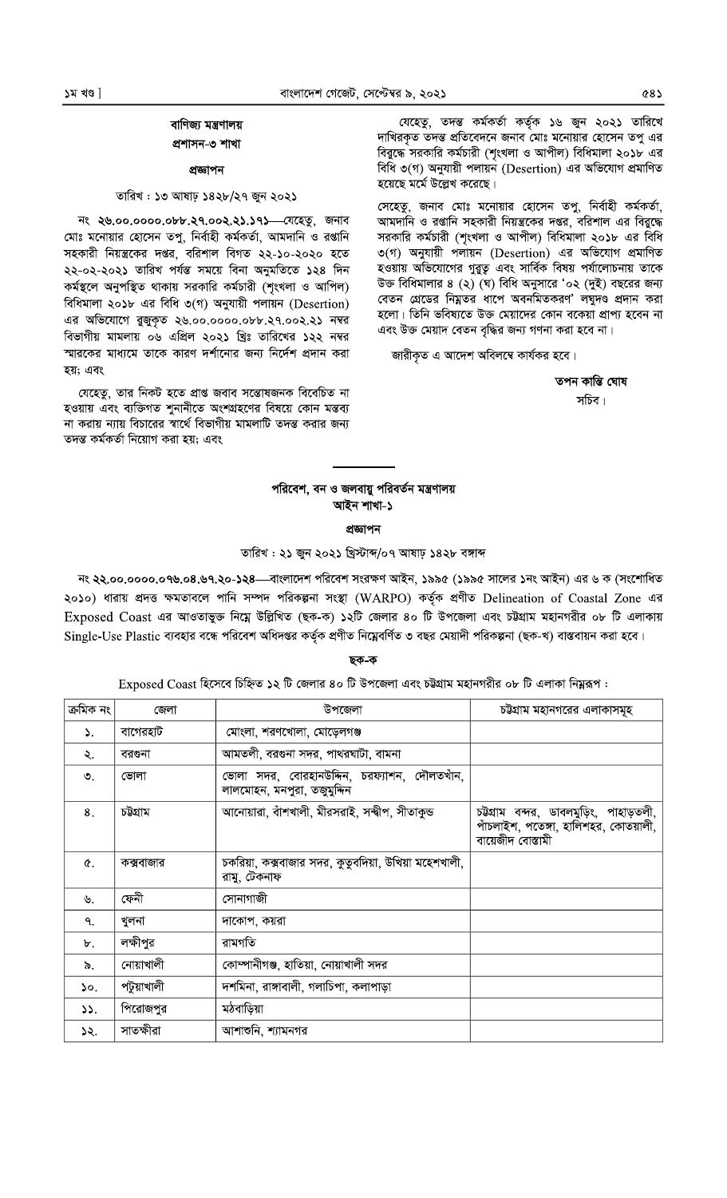# বাণিজ্য মন্ত্ৰণালয় প্ৰশাসন-৩ শাখা

#### প্ৰজ্ঞাপন

### তারিখ: ১৩ আষাঢ় ১৪২৮/২৭ জুন ২০২১

নং ২৬.০০.০০০০.০৮৮.২৭.০০২.২১.১৭১ বেহেতু, জনাব মোঃ মনোয়ার হোসেন তপু, নির্বাহী কর্মকর্তা, আমদানি ও রপ্তানি সহকারী নিয়ন্ত্রকের দপ্তর, বরিশাল বিগত ২২-১০-২০২০ হতে ২২-০২-২০২১ তারিখ পর্যন্ত সময়ে বিনা অনুমতিতে ১২৪ দিন কর্মস্থলে অনুপস্থিত থাকায় সরকারি কর্মচারী (শৃংখলা ও আপিল) বিধিমালা ২০১৮ এর বিধি ৩(গ) অনুযায়ী পলায়ন (Desertion) এর অভিযোগে রুজুকৃত ২৬.০০.০০০০.০৮৮.২৭.০০২.২১ নম্বর বিভাগীয় মামলায় ০৬ এপ্রিল ২০২১ খ্রিঃ তারিখের ১২২ নম্বর স্মারকের মাধ্যমে তাকে কারণ দর্শানোর জন্য নির্দেশ প্রদান করা হয়; এবং

যেহেতু, তার নিকট হতে প্রাপ্ত জবাব সম্ভোষজনক বিবেচিত না হওয়ায় এবং ব্যক্তিগত শুনানীতে অংশগ্রহণের বিষয়ে কোন মন্তব্য না করায় ন্যায় বিচারের স্বার্থে বিভাগীয় মামলাটি তদন্ত করার জন্য তদন্ত কৰ্মকৰ্তা নিয়োগ করা হয়; এবং

যেহেতু, তদন্ত কৰ্মকৰ্তা কৰ্তৃক ১৬ জুন ২০২১ তারিখে দাখিরকৃত তদন্ত প্রতিবেদনে জনাব মোঃ মনোয়ার হোসেন তপু এর বিরুদ্ধে সরকারি কর্মচারী (শৃংখলা ও আপীল) বিধিমালা ২০১৮ এর বিধি ৩(গ) অনুযায়ী পলায়ন (Desertion) এর অভিযোগ প্রমাণিত হয়েছে মর্মে উল্লেখ করেছে।

সেহেতু, জনাব মোঃ মনোয়ার হোসেন তপু, নির্বাহী কর্মকর্তা, আমদানি ও রপ্তানি সহকারী নিয়ন্ত্রকের দপ্তর, বরিশাল এর বিরুদ্ধে সরকারি কর্মচারী (শৃংখলা ও আপীল) বিধিমালা ২০১৮ এর বিধি ৩(গ) অনুযায়ী পলায়ন (Desertion) এর অভিযোগ প্রমাণিত হওয়ায় অভিযোগের গুরুত্ব এবং সার্বিক বিষয় পর্যালোচনায় তাকে উক্ত বিধিমালার ৪ (২) (ঘ) বিধি অনুসারে '০২ (দুই) বছরের জন্য বেতন গ্রেডের নিম্নতর ধাপে অবনমিতকরণ' লঘুদণ্ড প্রদান করা হলো। তিনি ভবিষ্যতে উক্ত মেয়াদের কোন বকেয়া প্রাপ্য হবেন না এবং উক্ত মেয়াদ বেতন বৃদ্ধির জন্য গণনা করা হবে না।

জারীকৃত এ আদেশ অবিলম্বে কার্যকর হবে।

তপন কান্তি ঘোষ সচিব।

## পরিবেশ, বন ও জলবায়ু পরিবর্তন মন্ত্রণালয় আইন শাখা-১

প্ৰজ্ঞাপন

## তারিখ: ২১ জুন ২০২১ খ্রিস্টাব্দ/০৭ আষাঢ় ১৪২৮ বঙ্গাব্দ

নং ২২.০০.০০০০.০৭৬.০৪.৬৭.২০-১২৪—বাংলাদেশ পরিবেশ সংরক্ষণ আইন, ১৯৯৫ (১৯৯৫ সালের ১নং আইন) এর ৬ ক (সংশোধিত ২০১০) ধারায় প্রদত্ত ক্ষমতাবলে পানি সম্পদ পরিকল্পনা সংস্থা (WARPO) কর্তৃক প্রণীত Delineation of Coastal Zone এর Exposed Coast এর আওতাভুক্ত নিম্নে উল্লিখিত (ছক-ক) ১২টি জেলার ৪০ টি উপজেলা এবং চউগ্রাম মহানগরীর ০৮ টি এলাকায় Single-Use Plastic ব্যবহার বন্ধে পরিবেশ অধিদপ্তর কর্তৃক প্রণীত নিম্নেবর্ণিত ৩ বছর মেয়াদী পরিকল্পনা (ছক-খ) বাস্তবায়ন করা হবে।

#### ছক-ক

#### $\mathop{\rm Exposed}$   $\mathop{\rm Coast}$  হিসেবে চিহ্নিত ১২ টি জেলার ৪০ টি উপজেলা এবং চট্টগ্রাম মহানগরীর ০৮ টি এলাকা নিয়ুরূপ :

| ক্ৰমিক নং | জেলা       | উপজেলা                                                                     | চউগ্রাম মহানগরের এলাকাসমূহ                                                                          |
|-----------|------------|----------------------------------------------------------------------------|-----------------------------------------------------------------------------------------------------|
| ۵.        | বাগেরহাট   | মোংলা, শরণখোলা, মোড়েলগঞ্জ                                                 |                                                                                                     |
| ২.        | বরগুনা     | আমতলী, বরগুনা সদর, পাথরঘাটা, বামনা                                         |                                                                                                     |
| $\circ$ . | ভোলা       | ভোলা সদর, বোরহানউদ্দিন, চরফ্যাশন, দৌলতখাঁন,<br>লালমোহন, মনপুরা, তজুমুদ্দিন |                                                                                                     |
| 8.        | চউগ্ৰাম    | আনোয়ারা, বাঁশখালী, মীরসরাই, সন্দ্বীপ, সীতাকুন্ড                           | চউগ্রাম বন্দর, ডাবলমুড়িং, পাহাড়তলী,<br>পাঁচলাইশ, পতেঙ্গা, হালিশহর, কোতয়ালী,<br>বায়েজীদ বোস্তামী |
| ¢.        | কক্সবাজার  | চকরিয়া, কক্সবাজার সদর, কুতুবদিয়া, উখিয়া মহেশখালী,<br>রামু, টেকনাফ       |                                                                                                     |
| ৬.        | ফেনী       | সোনাগাজী                                                                   |                                                                                                     |
| ٩.        | খুলনা      | দাকোপ, কয়রা                                                               |                                                                                                     |
| ৮.        | লক্ষীপুর   | রামগতি                                                                     |                                                                                                     |
| ৯.        | নোয়াখালী  | কোম্পানীগঞ্জ, হাতিয়া, নোয়াখালী সদর                                       |                                                                                                     |
| 50.       | পটুয়াখালী | দশমিনা, রাঙ্গাবালী, গলাচিপা, কলাপাড়া                                      |                                                                                                     |
| 55.       | পিরোজপুর   | মঠবাড়িয়া                                                                 |                                                                                                     |
| ১২.       | সাতক্ষীরা  | আশাশুনি, শ্যামনগর                                                          |                                                                                                     |